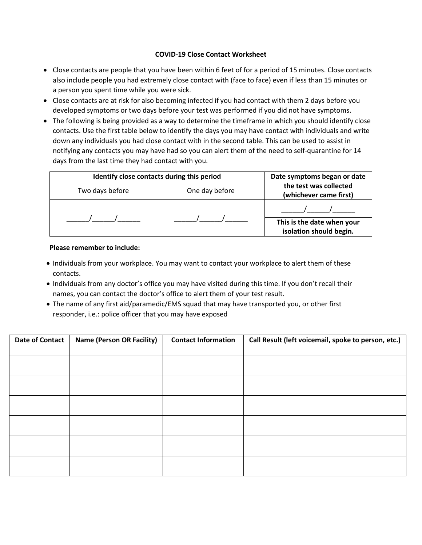## **COVID-19 Close Contact Worksheet**

- Close contacts are people that you have been within 6 feet of for a period of 15 minutes. Close contacts also include people you had extremely close contact with (face to face) even if less than 15 minutes or a person you spent time while you were sick.
- Close contacts are at risk for also becoming infected if you had contact with them 2 days before you developed symptoms or two days before your test was performed if you did not have symptoms.
- The following is being provided as a way to determine the timeframe in which you should identify close contacts. Use the first table below to identify the days you may have contact with individuals and write down any individuals you had close contact with in the second table. This can be used to assist in notifying any contacts you may have had so you can alert them of the need to self-quarantine for 14 days from the last time they had contact with you.

| Identify close contacts during this period | Date symptoms began or date |                                                       |
|--------------------------------------------|-----------------------------|-------------------------------------------------------|
| Two days before                            | One day before              | the test was collected<br>(whichever came first)      |
|                                            |                             |                                                       |
|                                            |                             | This is the date when your<br>isolation should begin. |

## **Please remember to include:**

- Individuals from your workplace. You may want to contact your workplace to alert them of these contacts.
- Individuals from any doctor's office you may have visited during this time. If you don't recall their names, you can contact the doctor's office to alert them of your test result.
- The name of any first aid/paramedic/EMS squad that may have transported you, or other first responder, i.e.: police officer that you may have exposed

| <b>Date of Contact</b> | <b>Name (Person OR Facility)</b> | <b>Contact Information</b> | Call Result (left voicemail, spoke to person, etc.) |
|------------------------|----------------------------------|----------------------------|-----------------------------------------------------|
|                        |                                  |                            |                                                     |
|                        |                                  |                            |                                                     |
|                        |                                  |                            |                                                     |
|                        |                                  |                            |                                                     |
|                        |                                  |                            |                                                     |
|                        |                                  |                            |                                                     |